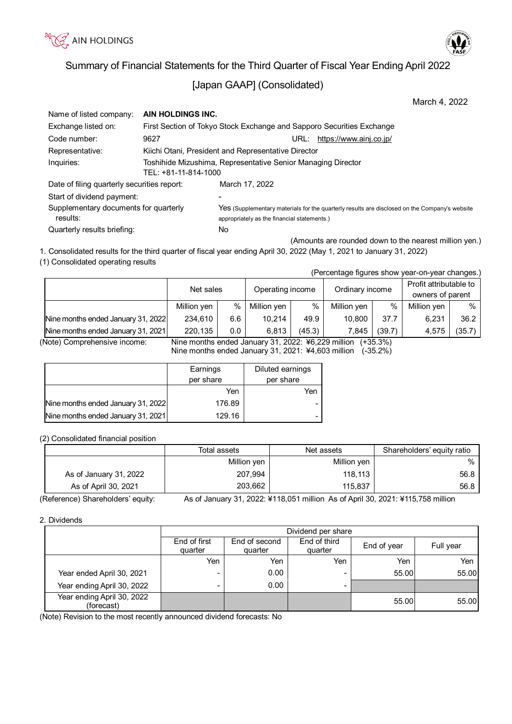



# [Japan GAAP] (Consolidated)

| Name of listed company:                     | AIN HOLDINGS INC.    |                                                                                               |  |  |  |  |
|---------------------------------------------|----------------------|-----------------------------------------------------------------------------------------------|--|--|--|--|
| Exchange listed on:                         |                      | First Section of Tokyo Stock Exchange and Sapporo Securities Exchange                         |  |  |  |  |
| Code number:                                | 9627                 | https://www.ainj.co.jp/<br>URL:                                                               |  |  |  |  |
| Representative:                             |                      | Kiichi Otani, President and Representative Director                                           |  |  |  |  |
| Inquiries:                                  |                      | Toshihide Mizushima, Representative Senior Managing Director                                  |  |  |  |  |
|                                             | TEL: +81-11-814-1000 |                                                                                               |  |  |  |  |
| Date of filing quarterly securities report: |                      | March 17, 2022                                                                                |  |  |  |  |
| Start of dividend payment:                  |                      |                                                                                               |  |  |  |  |
| Supplementary documents for quarterly       |                      | Yes (Supplementary materials for the quarterly results are disclosed on the Company's website |  |  |  |  |
| results:                                    |                      | appropriately as the financial statements.)                                                   |  |  |  |  |
| Quarterly results briefing:                 |                      | No                                                                                            |  |  |  |  |

(Amounts are rounded down to the nearest million yen.) 1. Consolidated results for the third quarter of fiscal year ending April 30, 2022 (May 1, 2021 to January 31, 2022)

(1) Consolidated operating results

| (Percentage figures show year-on-year changes.) |             |                  |             |                 |             |                        |             |        |
|-------------------------------------------------|-------------|------------------|-------------|-----------------|-------------|------------------------|-------------|--------|
|                                                 | Net sales   | Operating income |             | Ordinary income |             | Profit attributable to |             |        |
|                                                 |             |                  |             |                 |             | owners of parent       |             |        |
|                                                 | Million yen | $\%$             | Million yen | %               | Million yen | $\%$                   | Million yen | %      |
| Nine months ended January 31, 2022              | 234.610     | 6.6              | 10.214      | 49.9            | 10,800      | 37.7                   | 6.231       | 36.2   |
| Nine months ended January 31, 2021              | 220,135     | 0.0              | 6,813       | (45.3)          | 7,845       | (39.7)                 | 4.575       | (35.7) |

(Note) Comprehensive income: Nine months ended January 31, 2022: ¥6,229 million (+35.3%)

Nine months ended January 31, 2021: ¥4,603 million (-35.2%)

|                                    | Earnings  | Diluted earnings |
|------------------------------------|-----------|------------------|
|                                    | per share | per share        |
|                                    | Yen       | Yen              |
| Nine months ended January 31, 2022 | 176.89    |                  |
| Nine months ended January 31, 2021 | 129.16    |                  |

(2) Consolidated financial position

|                        | Total assets | Net assets  | Shareholders' equity ratio |
|------------------------|--------------|-------------|----------------------------|
|                        | Million yen  | Million yen | $\%$                       |
| As of January 31, 2022 | 207,994      | 118.113     | 56.8                       |
| As of April 30, 2021   | 203,662      | 115.837     | 56.8                       |

(Reference) Shareholders' equity: As of January 31, 2022: ¥118,051 million As of April 30, 2021: ¥115,758 million

2. Dividends

|                                          | Dividend per share                                                                                         |      |                          |       |       |  |
|------------------------------------------|------------------------------------------------------------------------------------------------------------|------|--------------------------|-------|-------|--|
|                                          | End of third<br>End of first<br>End of second<br>End of year<br>Full year<br>quarter<br>quarter<br>quarter |      |                          |       |       |  |
|                                          | Yen                                                                                                        | Yen  | Yen                      | Yen   | Yen   |  |
| Year ended April 30, 2021                | $\blacksquare$                                                                                             | 0.00 | ۰                        | 55.00 | 55.00 |  |
| Year ending April 30, 2022               | $\blacksquare$                                                                                             | 0.00 | $\overline{\phantom{a}}$ |       |       |  |
| Year ending April 30, 2022<br>(forecast) |                                                                                                            |      |                          | 55.00 | 55.00 |  |

(Note) Revision to the most recently announced dividend forecasts: No



March 4, 2022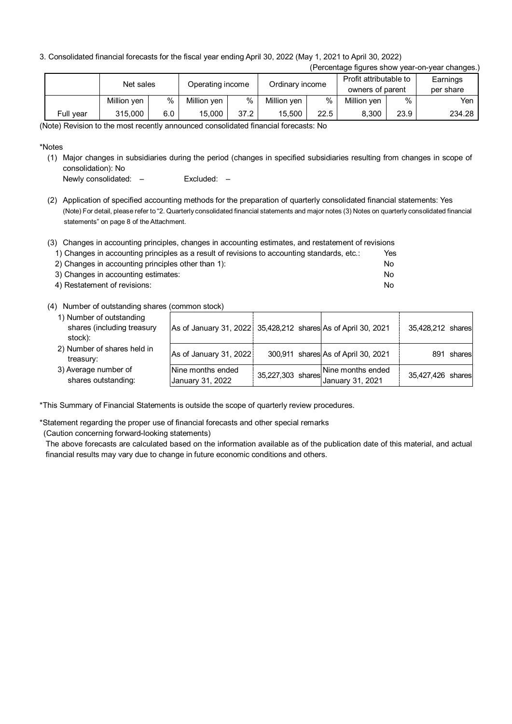3. Consolidated financial forecasts for the fiscal year ending April 30, 2022 (May 1, 2021 to April 30, 2022)

| (Percentage figures show year-on-year changes.) |             |                  |             |      |                 |                        |                  |          |           |
|-------------------------------------------------|-------------|------------------|-------------|------|-----------------|------------------------|------------------|----------|-----------|
| Net sales                                       |             | Operating income |             |      |                 | Profit attributable to |                  | Earnings |           |
|                                                 |             |                  |             |      | Ordinary income |                        | owners of parent |          | per share |
|                                                 | Million yen | $\%$             | Million yen | $\%$ | Million yen     | $\%$                   | Million yen      | %        | Yen       |
| Full year                                       | 315,000     | 6.0              | 15.000      | 37.2 | 15.500          | 22.5                   | 8.300            | 23.9     | 234.28    |

(Note) Revision to the most recently announced consolidated financial forecasts: No

\*Notes

(1) Major changes in subsidiaries during the period (changes in specified subsidiaries resulting from changes in scope of consolidation): No

Newly consolidated: – Excluded: –

(2) Application of specified accounting methods for the preparation of quarterly consolidated financial statements: Yes (Note) For detail, please refer to "2. Quarterly consolidated financial statements and major notes (3) Notes on quarterly consolidated financial statements" on page 8 of the Attachment.

| (3) Changes in accounting principles, changes in accounting estimates, and restatement of revisions |     |
|-----------------------------------------------------------------------------------------------------|-----|
| 1) Changes in accounting principles as a result of revisions to accounting standards, etc.:         | Yes |
| 2) Changes in accounting principles other than 1):                                                  | No. |
| 3) Changes in accounting estimates:                                                                 | No. |
| 4) Restatement of revisions:                                                                        | No. |

# (4) Number of outstanding shares (common stock)

| 1) Number of outstanding<br>shares (including treasury<br>stock): | As of January 31, 2022 35,428,212 shares As of April 30, 2021 |                                                                                   | 35,428,212 shares |
|-------------------------------------------------------------------|---------------------------------------------------------------|-----------------------------------------------------------------------------------|-------------------|
| 2) Number of shares held in<br>treasury:                          | As of January 31, 2022                                        | 300,911 shares As of April 30, 2021                                               | 891 shares        |
| 3) Average number of<br>shares outstanding:                       | Nine months ended<br>January 31, 2022                         | Nine months ended<br>$+35,227,303$ shares $\Big  \Big $ , $\Big $ anuary 31, 2021 | 35,427,426 shares |

\*This Summary of Financial Statements is outside the scope of quarterly review procedures.

\*Statement regarding the proper use of financial forecasts and other special remarks (Caution concerning forward-looking statements)

The above forecasts are calculated based on the information available as of the publication date of this material, and actual financial results may vary due to change in future economic conditions and others.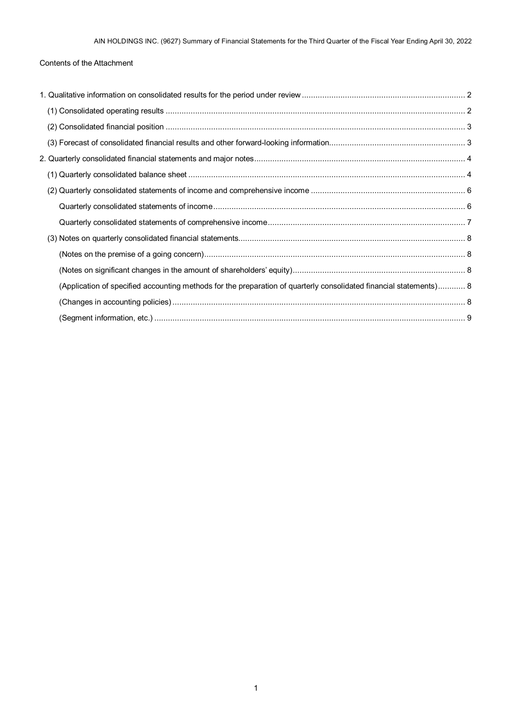# Contents of the Attachment

| (Application of specified accounting methods for the preparation of quarterly consolidated financial statements) 8 |  |
|--------------------------------------------------------------------------------------------------------------------|--|
|                                                                                                                    |  |
|                                                                                                                    |  |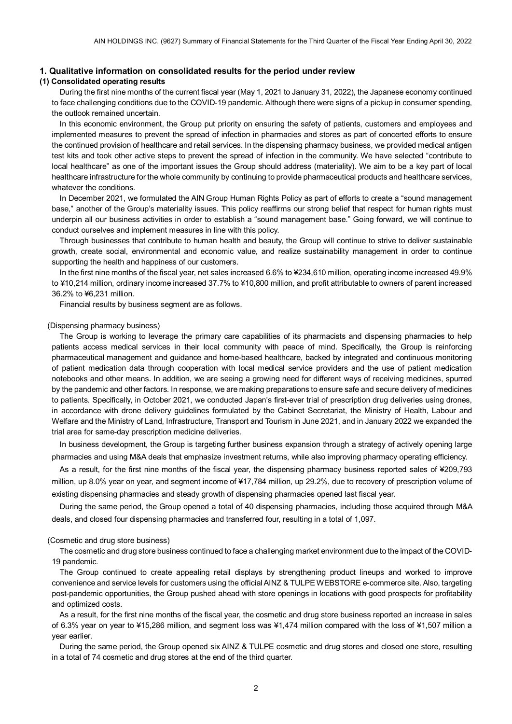### <span id="page-3-0"></span>**1. Qualitative information on consolidated results for the period under review**

### <span id="page-3-1"></span>**(1) Consolidated operating results**

During the first nine months of the current fiscal year (May 1, 2021 to January 31, 2022), the Japanese economy continued to face challenging conditions due to the COVID-19 pandemic. Although there were signs of a pickup in consumer spending, the outlook remained uncertain.

In this economic environment, the Group put priority on ensuring the safety of patients, customers and employees and implemented measures to prevent the spread of infection in pharmacies and stores as part of concerted efforts to ensure the continued provision of healthcare and retail services. In the dispensing pharmacy business, we provided medical antigen test kits and took other active steps to prevent the spread of infection in the community. We have selected "contribute to local healthcare" as one of the important issues the Group should address (materiality). We aim to be a key part of local healthcare infrastructure for the whole community by continuing to provide pharmaceutical products and healthcare services, whatever the conditions.

In December 2021, we formulated the AIN Group Human Rights Policy as part of efforts to create a "sound management base," another of the Group's materiality issues. This policy reaffirms our strong belief that respect for human rights must underpin all our business activities in order to establish a "sound management base." Going forward, we will continue to conduct ourselves and implement measures in line with this policy.

Through businesses that contribute to human health and beauty, the Group will continue to strive to deliver sustainable growth, create social, environmental and economic value, and realize sustainability management in order to continue supporting the health and happiness of our customers.

In the first nine months of the fiscal year, net sales increased 6.6% to ¥234,610 million, operating income increased 49.9% to ¥10,214 million, ordinary income increased 37.7% to ¥10,800 million, and profit attributable to owners of parent increased 36.2% to ¥6,231 million.

Financial results by business segment are as follows.

### (Dispensing pharmacy business)

The Group is working to leverage the primary care capabilities of its pharmacists and dispensing pharmacies to help patients access medical services in their local community with peace of mind. Specifically, the Group is reinforcing pharmaceutical management and guidance and home-based healthcare, backed by integrated and continuous monitoring of patient medication data through cooperation with local medical service providers and the use of patient medication notebooks and other means. In addition, we are seeing a growing need for different ways of receiving medicines, spurred by the pandemic and other factors. In response, we are making preparations to ensure safe and secure delivery of medicines to patients. Specifically, in October 2021, we conducted Japan's first-ever trial of prescription drug deliveries using drones, in accordance with drone delivery guidelines formulated by the Cabinet Secretariat, the Ministry of Health, Labour and Welfare and the Ministry of Land, Infrastructure, Transport and Tourism in June 2021, and in January 2022 we expanded the trial area for same-day prescription medicine deliveries.

In business development, the Group is targeting further business expansion through a strategy of actively opening large pharmacies and using M&A deals that emphasize investment returns, while also improving pharmacy operating efficiency.

As a result, for the first nine months of the fiscal year, the dispensing pharmacy business reported sales of ¥209,793 million, up 8.0% year on year, and segment income of ¥17,784 million, up 29.2%, due to recovery of prescription volume of existing dispensing pharmacies and steady growth of dispensing pharmacies opened last fiscal year.

During the same period, the Group opened a total of 40 dispensing pharmacies, including those acquired through M&A deals, and closed four dispensing pharmacies and transferred four, resulting in a total of 1,097.

#### (Cosmetic and drug store business)

The cosmetic and drug store business continued to face a challenging market environment due to the impact of the COVID-19 pandemic.

The Group continued to create appealing retail displays by strengthening product lineups and worked to improve convenience and service levels for customers using the official AINZ & TULPE WEBSTORE e-commerce site. Also, targeting post-pandemic opportunities, the Group pushed ahead with store openings in locations with good prospects for profitability and optimized costs.

As a result, for the first nine months of the fiscal year, the cosmetic and drug store business reported an increase in sales of 6.3% year on year to ¥15,286 million, and segment loss was ¥1,474 million compared with the loss of ¥1,507 million a year earlier.

During the same period, the Group opened six AINZ & TULPE cosmetic and drug stores and closed one store, resulting in a total of 74 cosmetic and drug stores at the end of the third quarter.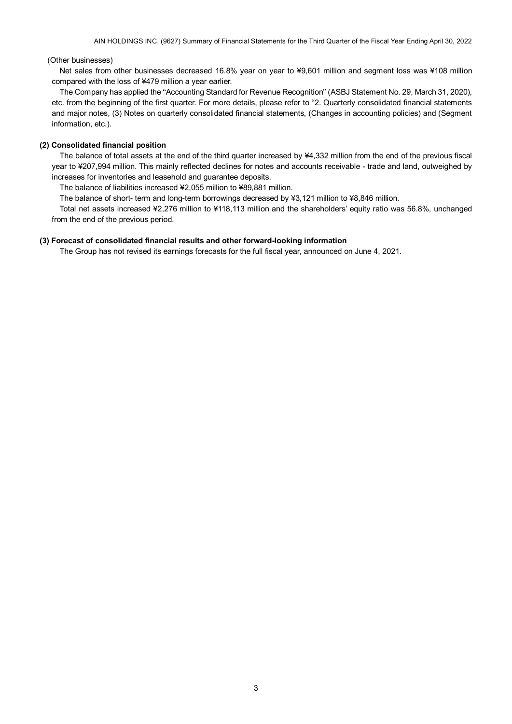### (Other businesses)

Net sales from other businesses decreased 16.8% year on year to ¥9,601 million and segment loss was ¥108 million compared with the loss of ¥479 million a year earlier.

The Company has applied the "Accounting Standard for Revenue Recognition" (ASBJ Statement No. 29, March 31, 2020), etc. from the beginning of the first quarter. For more details, please refer to "2. Quarterly consolidated financial statements and major notes, (3) Notes on quarterly consolidated financial statements, (Changes in accounting policies) and (Segment information, etc.).

### <span id="page-4-0"></span>**(2) Consolidated financial position**

The balance of total assets at the end of the third quarter increased by ¥4,332 million from the end of the previous fiscal year to ¥207,994 million. This mainly reflected declines for notes and accounts receivable - trade and land, outweighed by increases for inventories and leasehold and guarantee deposits.

The balance of liabilities increased ¥2,055 million to ¥89,881 million.

The balance of short- term and long-term borrowings decreased by ¥3,121 million to ¥8,846 million.

Total net assets increased ¥2,276 million to ¥118,113 million and the shareholders' equity ratio was 56.8%, unchanged from the end of the previous period.

#### <span id="page-4-1"></span>**(3) Forecast of consolidated financial results and other forward-looking information**

The Group has not revised its earnings forecasts for the full fiscal year, announced on June 4, 2021.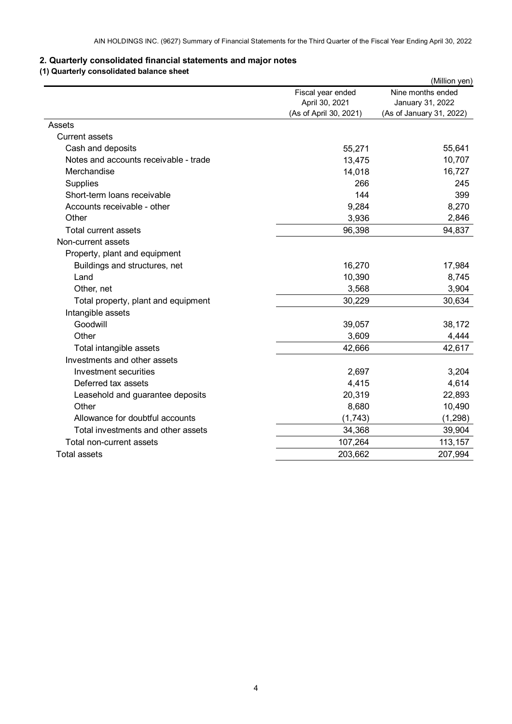# <span id="page-5-0"></span>**2. Quarterly consolidated financial statements and major notes**

# <span id="page-5-1"></span>**(1) Quarterly consolidated balance sheet**

|                                       |                        | (Million yen)            |
|---------------------------------------|------------------------|--------------------------|
|                                       | Fiscal year ended      | Nine months ended        |
|                                       | April 30, 2021         | January 31, 2022         |
|                                       | (As of April 30, 2021) | (As of January 31, 2022) |
| Assets                                |                        |                          |
| <b>Current assets</b>                 |                        |                          |
| Cash and deposits                     | 55,271                 | 55,641                   |
| Notes and accounts receivable - trade | 13,475                 | 10,707                   |
| Merchandise                           | 14,018                 | 16,727                   |
| Supplies                              | 266                    | 245                      |
| Short-term loans receivable           | 144                    | 399                      |
| Accounts receivable - other           | 9,284                  | 8,270                    |
| Other                                 | 3,936                  | 2,846                    |
| <b>Total current assets</b>           | 96,398                 | 94,837                   |
| Non-current assets                    |                        |                          |
| Property, plant and equipment         |                        |                          |
| Buildings and structures, net         | 16,270                 | 17,984                   |
| Land                                  | 10,390                 | 8,745                    |
| Other, net                            | 3,568                  | 3,904                    |
| Total property, plant and equipment   | 30,229                 | 30,634                   |
| Intangible assets                     |                        |                          |
| Goodwill                              | 39,057                 | 38,172                   |
| Other                                 | 3,609                  | 4,444                    |
| Total intangible assets               | 42,666                 | 42,617                   |
| Investments and other assets          |                        |                          |
| Investment securities                 | 2,697                  | 3,204                    |
| Deferred tax assets                   | 4,415                  | 4,614                    |
| Leasehold and guarantee deposits      | 20,319                 | 22,893                   |
| Other                                 | 8,680                  | 10,490                   |
| Allowance for doubtful accounts       | (1,743)                | (1, 298)                 |
| Total investments and other assets    | 34,368                 | 39,904                   |
| Total non-current assets              | 107,264                | 113,157                  |
| <b>Total assets</b>                   | 203,662                | 207,994                  |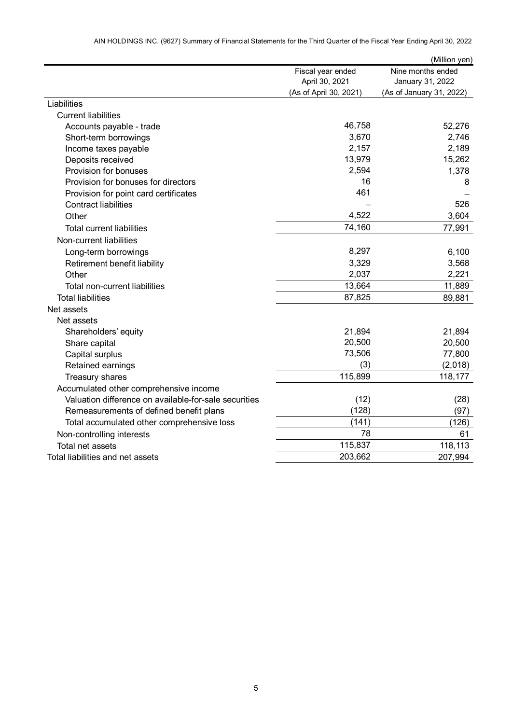|                                                       |                        | (Million yen)            |
|-------------------------------------------------------|------------------------|--------------------------|
|                                                       | Fiscal year ended      | Nine months ended        |
|                                                       | April 30, 2021         | January 31, 2022         |
|                                                       | (As of April 30, 2021) | (As of January 31, 2022) |
| Liabilities                                           |                        |                          |
| <b>Current liabilities</b>                            |                        |                          |
| Accounts payable - trade                              | 46,758                 | 52,276                   |
| Short-term borrowings                                 | 3,670                  | 2,746                    |
| Income taxes payable                                  | 2,157                  | 2,189                    |
| Deposits received                                     | 13,979                 | 15,262                   |
| Provision for bonuses                                 | 2,594                  | 1,378                    |
| Provision for bonuses for directors                   | 16                     | 8                        |
| Provision for point card certificates                 | 461                    |                          |
| <b>Contract liabilities</b>                           |                        | 526                      |
| Other                                                 | 4,522                  | 3,604                    |
| <b>Total current liabilities</b>                      | 74,160                 | 77,991                   |
| Non-current liabilities                               |                        |                          |
| Long-term borrowings                                  | 8,297                  | 6,100                    |
| Retirement benefit liability                          | 3,329                  | 3,568                    |
| Other                                                 | 2,037                  | 2,221                    |
| Total non-current liabilities                         | 13,664                 | 11,889                   |
| <b>Total liabilities</b>                              | 87,825                 | 89,881                   |
| Net assets                                            |                        |                          |
| Net assets                                            |                        |                          |
| Shareholders' equity                                  | 21,894                 | 21,894                   |
| Share capital                                         | 20,500                 | 20,500                   |
| Capital surplus                                       | 73,506                 | 77,800                   |
| Retained earnings                                     | (3)                    | (2,018)                  |
| Treasury shares                                       | 115,899                | 118,177                  |
| Accumulated other comprehensive income                |                        |                          |
| Valuation difference on available-for-sale securities | (12)                   | (28)                     |
| Remeasurements of defined benefit plans               | (128)                  | (97)                     |
| Total accumulated other comprehensive loss            | (141)                  | (126)                    |
| Non-controlling interests                             | 78                     | 61                       |
| Total net assets                                      | 115,837                | 118,113                  |
| Total liabilities and net assets                      | 203,662                | 207,994                  |

AIN HOLDINGS INC. (9627) Summary of Financial Statements for the Third Quarter of the Fiscal Year Ending April 30, 2022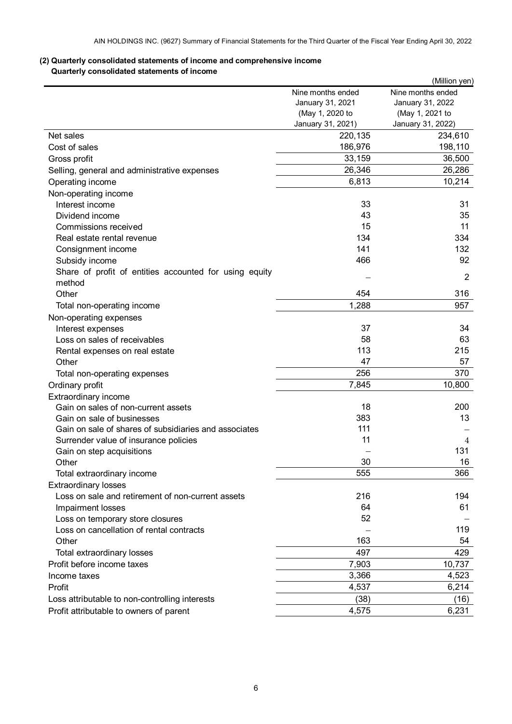# <span id="page-7-1"></span><span id="page-7-0"></span>**(2) Quarterly consolidated statements of income and comprehensive income Quarterly consolidated statements of income**

|                                                        |                   | (Million yen)     |
|--------------------------------------------------------|-------------------|-------------------|
|                                                        | Nine months ended | Nine months ended |
|                                                        | January 31, 2021  | January 31, 2022  |
|                                                        | (May 1, 2020 to   | (May 1, 2021 to   |
|                                                        | January 31, 2021) | January 31, 2022) |
| Net sales                                              | 220,135           | 234,610           |
| Cost of sales                                          | 186,976           | 198,110           |
| Gross profit                                           | 33,159            | 36,500            |
| Selling, general and administrative expenses           | 26,346            | 26,286            |
| Operating income                                       | 6,813             | 10,214            |
| Non-operating income                                   |                   |                   |
| Interest income                                        | 33                | 31                |
| Dividend income                                        | 43                | 35                |
| Commissions received                                   | 15                | 11                |
| Real estate rental revenue                             | 134               | 334               |
| Consignment income                                     | 141               | 132               |
| Subsidy income                                         | 466               | 92                |
| Share of profit of entities accounted for using equity |                   |                   |
| method                                                 |                   | $\overline{2}$    |
| Other                                                  | 454               | 316               |
| Total non-operating income                             | 1,288             | 957               |
| Non-operating expenses                                 |                   |                   |
| Interest expenses                                      | 37                | 34                |
| Loss on sales of receivables                           | 58                | 63                |
|                                                        | 113               | 215               |
| Rental expenses on real estate                         | 47                |                   |
| Other                                                  |                   | 57                |
| Total non-operating expenses                           | 256               | 370               |
| Ordinary profit                                        | 7,845             | 10,800            |
| Extraordinary income                                   |                   |                   |
| Gain on sales of non-current assets                    | 18                | 200               |
| Gain on sale of businesses                             | 383               | 13                |
| Gain on sale of shares of subsidiaries and associates  | 111               |                   |
| Surrender value of insurance policies                  | 11                | 4                 |
| Gain on step acquisitions                              |                   | 131               |
| Other                                                  | 30                | 16                |
| Total extraordinary income                             | 555               | 366               |
| <b>Extraordinary losses</b>                            |                   |                   |
| Loss on sale and retirement of non-current assets      | 216               | 194               |
| Impairment losses                                      | 64                | 61                |
| Loss on temporary store closures                       | 52                |                   |
| Loss on cancellation of rental contracts               |                   | 119               |
| Other                                                  | 163               | 54                |
| Total extraordinary losses                             | 497               | 429               |
| Profit before income taxes                             | 7,903             | 10,737            |
| Income taxes                                           | 3,366             | 4,523             |
| Profit                                                 | 4,537             | 6,214             |
| Loss attributable to non-controlling interests         | (38)              | (16)              |
| Profit attributable to owners of parent                | 4,575             | 6,231             |
|                                                        |                   |                   |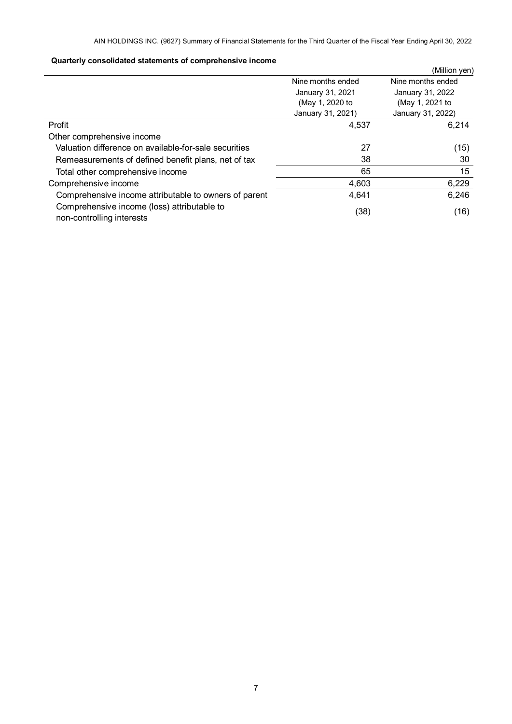# **Quarterly consolidated statements of comprehensive income**

<span id="page-8-0"></span>

| daarterit aanaanaataa amministika ol aanibitanteen almaania              |                   | (Million yen)     |  |
|--------------------------------------------------------------------------|-------------------|-------------------|--|
|                                                                          | Nine months ended | Nine months ended |  |
|                                                                          | January 31, 2021  | January 31, 2022  |  |
|                                                                          | (May 1, 2020 to   | (May 1, 2021 to   |  |
|                                                                          | January 31, 2021) | January 31, 2022) |  |
| Profit                                                                   | 4,537             | 6,214             |  |
| Other comprehensive income                                               |                   |                   |  |
| Valuation difference on available-for-sale securities                    | 27                | (15)              |  |
| Remeasurements of defined benefit plans, net of tax                      | 38                | 30                |  |
| Total other comprehensive income                                         | 65                | 15                |  |
| Comprehensive income                                                     | 4,603             | 6,229             |  |
| Comprehensive income attributable to owners of parent                    | 4,641             | 6,246             |  |
| Comprehensive income (loss) attributable to<br>non-controlling interests | (38)              | (16)              |  |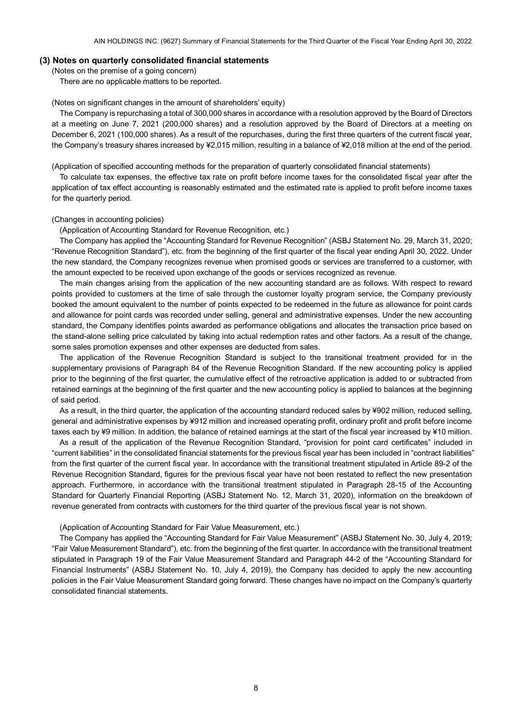### <span id="page-9-1"></span><span id="page-9-0"></span>**(3) Notes on quarterly consolidated financial statements**

(Notes on the premise of a going concern)

There are no applicable matters to be reported.

#### <span id="page-9-2"></span>(Notes on significant changes in the amount of shareholders' equity)

The Company is repurchasing a total of 300,000 shares in accordance with a resolution approved by the Board of Directors at a meeting on June 7, 2021 (200,000 shares) and a resolution approved by the Board of Directors at a meeting on December 6, 2021 (100,000 shares). As a result of the repurchases, during the first three quarters of the current fiscal year, the Company's treasury shares increased by ¥2,015 million, resulting in a balance of ¥2,018 million at the end of the period.

<span id="page-9-3"></span>(Application of specified accounting methods for the preparation of quarterly consolidated financial statements)

To calculate tax expenses, the effective tax rate on profit before income taxes for the consolidated fiscal year after the application of tax effect accounting is reasonably estimated and the estimated rate is applied to profit before income taxes for the quarterly period.

#### <span id="page-9-4"></span>(Changes in accounting policies)

(Application of Accounting Standard for Revenue Recognition, etc.)

The Company has applied the "Accounting Standard for Revenue Recognition" (ASBJ Statement No. 29, March 31, 2020; "Revenue Recognition Standard"), etc. from the beginning of the first quarter of the fiscal year ending April 30, 2022. Under the new standard, the Company recognizes revenue when promised goods or services are transferred to a customer, with the amount expected to be received upon exchange of the goods or services recognized as revenue.

The main changes arising from the application of the new accounting standard are as follows. With respect to reward points provided to customers at the time of sale through the customer loyalty program service, the Company previously booked the amount equivalent to the number of points expected to be redeemed in the future as allowance for point cards and allowance for point cards was recorded under selling, general and administrative expenses. Under the new accounting standard, the Company identifies points awarded as performance obligations and allocates the transaction price based on the stand-alone selling price calculated by taking into actual redemption rates and other factors. As a result of the change, some sales promotion expenses and other expenses are deducted from sales.

The application of the Revenue Recognition Standard is subject to the transitional treatment provided for in the supplementary provisions of Paragraph 84 of the Revenue Recognition Standard. If the new accounting policy is applied prior to the beginning of the first quarter, the cumulative effect of the retroactive application is added to or subtracted from retained earnings at the beginning of the first quarter and the new accounting policy is applied to balances at the beginning of said period.

As a result, in the third quarter, the application of the accounting standard reduced sales by ¥902 million, reduced selling, general and administrative expenses by ¥912 million and increased operating profit, ordinary profit and profit before income taxes each by ¥9 million. In addition, the balance of retained earnings at the start of the fiscal year increased by ¥10 million.

As a result of the application of the Revenue Recognition Standard, "provision for point card certificates" included in "current liabilities" in the consolidated financial statements for the previous fiscal year has been included in "contract liabilities" from the first quarter of the current fiscal year. In accordance with the transitional treatment stipulated in Article 89-2 of the Revenue Recognition Standard, figures for the previous fiscal year have not been restated to reflect the new presentation approach. Furthermore, in accordance with the transitional treatment stipulated in Paragraph 28-15 of the Accounting Standard for Quarterly Financial Reporting (ASBJ Statement No. 12, March 31, 2020), information on the breakdown of revenue generated from contracts with customers for the third quarter of the previous fiscal year is not shown.

#### (Application of Accounting Standard for Fair Value Measurement, etc.)

The Company has applied the "Accounting Standard for Fair Value Measurement" (ASBJ Statement No. 30, July 4, 2019; "Fair Value Measurement Standard"), etc. from the beginning of the first quarter. In accordance with the transitional treatment stipulated in Paragraph 19 of the Fair Value Measurement Standard and Paragraph 44-2 of the "Accounting Standard for Financial Instruments" (ASBJ Statement No. 10, July 4, 2019), the Company has decided to apply the new accounting policies in the Fair Value Measurement Standard going forward. These changes have no impact on the Company's quarterly consolidated financial statements.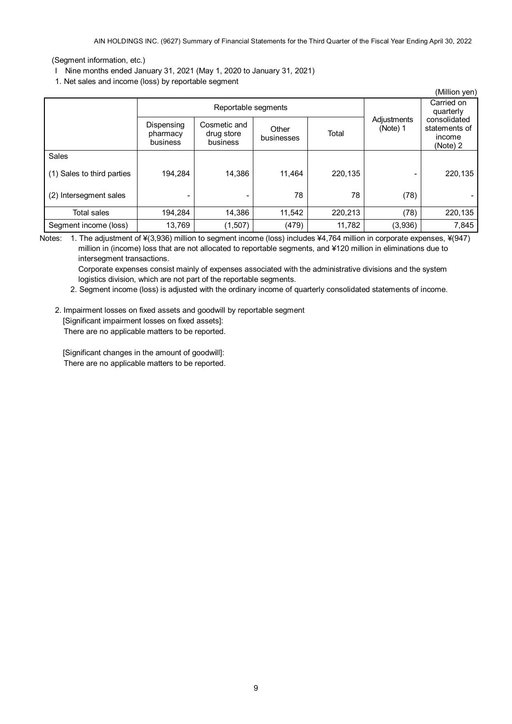AIN HOLDINGS INC. (9627) Summary of Financial Statements for the Third Quarter of the Fiscal Year Ending April 30, 2022

# <span id="page-10-0"></span>(Segment information, etc.)

- I Nine months ended January 31, 2021 (May 1, 2020 to January 31, 2021)
- 1. Net sales and income (loss) by reportable segment

| (Million yen)              |                                    |                                        |                     |         |                         |                                                     |  |
|----------------------------|------------------------------------|----------------------------------------|---------------------|---------|-------------------------|-----------------------------------------------------|--|
|                            | Reportable segments                |                                        |                     |         | Carried on<br>quarterly |                                                     |  |
|                            | Dispensing<br>pharmacy<br>business | Cosmetic and<br>drug store<br>business | Other<br>businesses | Total   | Adjustments<br>(Note) 1 | consolidated<br>statements of<br>income<br>(Note) 2 |  |
| Sales                      |                                    |                                        |                     |         |                         |                                                     |  |
| (1) Sales to third parties | 194.284                            | 14.386                                 | 11,464              | 220,135 |                         | 220,135                                             |  |
| (2) Intersegment sales     |                                    |                                        | 78                  | 78      | (78)                    |                                                     |  |
| Total sales                | 194.284                            | 14,386                                 | 11.542              | 220,213 | (78)                    | 220,135                                             |  |
| Segment income (loss)      | 13,769                             | (1,507)                                | (479)               | 11,782  | (3,936)                 | 7,845                                               |  |

Notes: 1. The adjustment of ¥(3,936) million to segment income (loss) includes ¥4,764 million in corporate expenses, ¥(947)

million in (income) loss that are not allocated to reportable segments, and ¥120 million in eliminations due to intersegment transactions.

Corporate expenses consist mainly of expenses associated with the administrative divisions and the system logistics division, which are not part of the reportable segments.

2. Segment income (loss) is adjusted with the ordinary income of quarterly consolidated statements of income.

2. Impairment losses on fixed assets and goodwill by reportable segment

[Significant impairment losses on fixed assets]:

There are no applicable matters to be reported.

[Significant changes in the amount of goodwill]: There are no applicable matters to be reported.